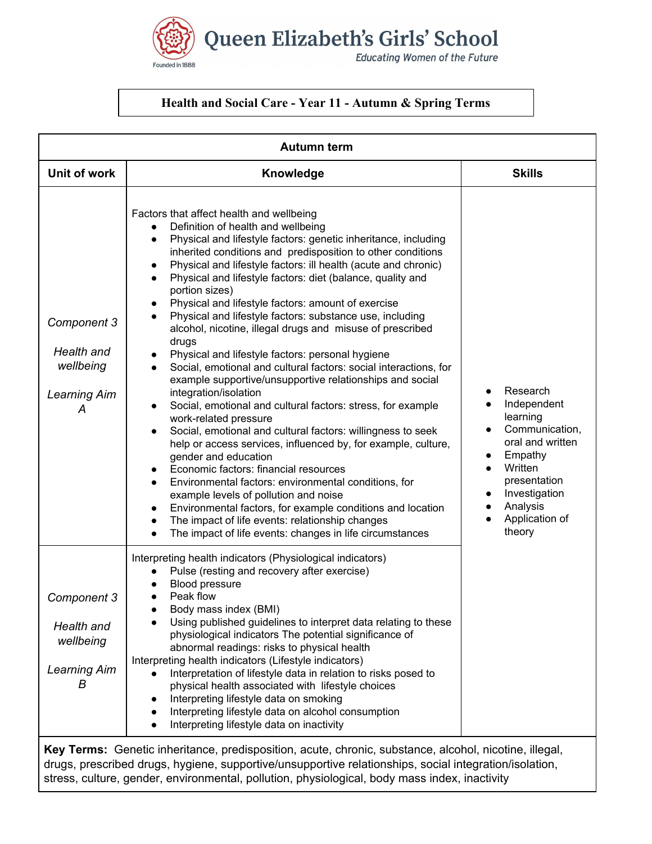Queen Elizabeth's Girls' School **Educating Women of the Future** 

## **Health and Social Care - Year 11 - Autumn & Spring Terms**

Founded in 1888

| <b>Autumn term</b>                                                 |                                                                                                                                                                                                                                                                                                                                                                                                                                                                                                                                                                                                                                                                                                                                                                                                                                                                                                                                                                                                                                                                                                                                                                                                                                                                                                                                                            |                                                                                                                                                                                                    |  |
|--------------------------------------------------------------------|------------------------------------------------------------------------------------------------------------------------------------------------------------------------------------------------------------------------------------------------------------------------------------------------------------------------------------------------------------------------------------------------------------------------------------------------------------------------------------------------------------------------------------------------------------------------------------------------------------------------------------------------------------------------------------------------------------------------------------------------------------------------------------------------------------------------------------------------------------------------------------------------------------------------------------------------------------------------------------------------------------------------------------------------------------------------------------------------------------------------------------------------------------------------------------------------------------------------------------------------------------------------------------------------------------------------------------------------------------|----------------------------------------------------------------------------------------------------------------------------------------------------------------------------------------------------|--|
| Unit of work                                                       | Knowledge                                                                                                                                                                                                                                                                                                                                                                                                                                                                                                                                                                                                                                                                                                                                                                                                                                                                                                                                                                                                                                                                                                                                                                                                                                                                                                                                                  | <b>Skills</b>                                                                                                                                                                                      |  |
| Component 3<br>Health and<br>wellbeing<br><b>Learning Aim</b><br>А | Factors that affect health and wellbeing<br>Definition of health and wellbeing<br>Physical and lifestyle factors: genetic inheritance, including<br>inherited conditions and predisposition to other conditions<br>Physical and lifestyle factors: ill health (acute and chronic)<br>$\bullet$<br>Physical and lifestyle factors: diet (balance, quality and<br>portion sizes)<br>Physical and lifestyle factors: amount of exercise<br>Physical and lifestyle factors: substance use, including<br>alcohol, nicotine, illegal drugs and misuse of prescribed<br>drugs<br>Physical and lifestyle factors: personal hygiene<br>Social, emotional and cultural factors: social interactions, for<br>example supportive/unsupportive relationships and social<br>integration/isolation<br>Social, emotional and cultural factors: stress, for example<br>work-related pressure<br>Social, emotional and cultural factors: willingness to seek<br>help or access services, influenced by, for example, culture,<br>gender and education<br>Economic factors: financial resources<br>Environmental factors: environmental conditions, for<br>example levels of pollution and noise<br>Environmental factors, for example conditions and location<br>The impact of life events: relationship changes<br>The impact of life events: changes in life circumstances | Research<br>Independent<br>learning<br>Communication,<br>oral and written<br>Empathy<br>$\bullet$<br>Written<br>$\bullet$<br>presentation<br>Investigation<br>Analysis<br>Application of<br>theory |  |
| Component 3<br>Health and<br>wellbeing<br><b>Learning Aim</b><br>В | Interpreting health indicators (Physiological indicators)<br>Pulse (resting and recovery after exercise)<br>Blood pressure<br>Peak flow<br>Body mass index (BMI)<br>Using published guidelines to interpret data relating to these<br>physiological indicators The potential significance of<br>abnormal readings: risks to physical health<br>Interpreting health indicators (Lifestyle indicators)<br>Interpretation of lifestyle data in relation to risks posed to<br>physical health associated with lifestyle choices<br>Interpreting lifestyle data on smoking<br>$\bullet$<br>Interpreting lifestyle data on alcohol consumption<br>Interpreting lifestyle data on inactivity<br>Key Terms: Genetic inheritance, predisposition, acute, chronic, substance, alcohol, nicotine, illegal,                                                                                                                                                                                                                                                                                                                                                                                                                                                                                                                                                            |                                                                                                                                                                                                    |  |

drugs, prescribed drugs, hygiene, supportive/unsupportive relationships, social integration/isolation, stress, culture, gender, environmental, pollution, physiological, body mass index, inactivity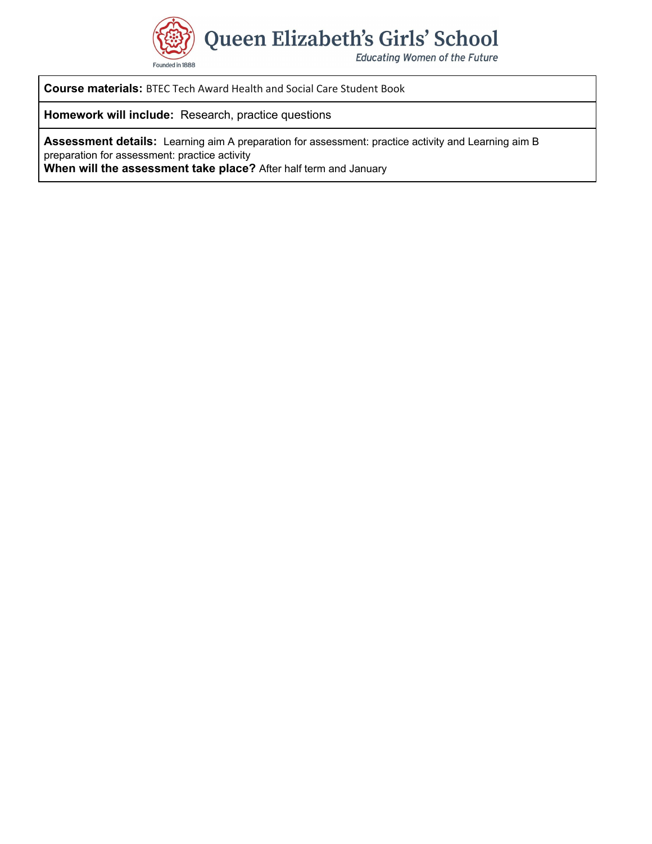

**Course materials:** BTEC Tech Award Health and Social Care Student Book

**Homework will include:** Research, practice questions

**Assessment details:** Learning aim A preparation for assessment: practice activity and Learning aim B preparation for assessment: practice activity

**When will the assessment take place?** After half term and January